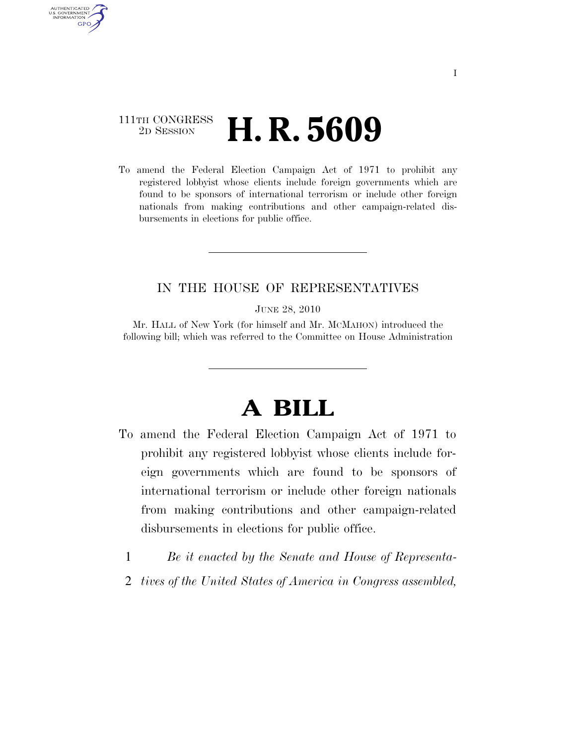## 111TH CONGRESS <sup>2D SESSION</sup> **H. R. 5609**

AUTHENTICATED U.S. GOVERNMENT **GPO** 

> To amend the Federal Election Campaign Act of 1971 to prohibit any registered lobbyist whose clients include foreign governments which are found to be sponsors of international terrorism or include other foreign nationals from making contributions and other campaign-related disbursements in elections for public office.

## IN THE HOUSE OF REPRESENTATIVES

JUNE 28, 2010

Mr. HALL of New York (for himself and Mr. MCMAHON) introduced the following bill; which was referred to the Committee on House Administration

## **A BILL**

- To amend the Federal Election Campaign Act of 1971 to prohibit any registered lobbyist whose clients include foreign governments which are found to be sponsors of international terrorism or include other foreign nationals from making contributions and other campaign-related disbursements in elections for public office.
	- 1 *Be it enacted by the Senate and House of Representa-*
	- 2 *tives of the United States of America in Congress assembled,*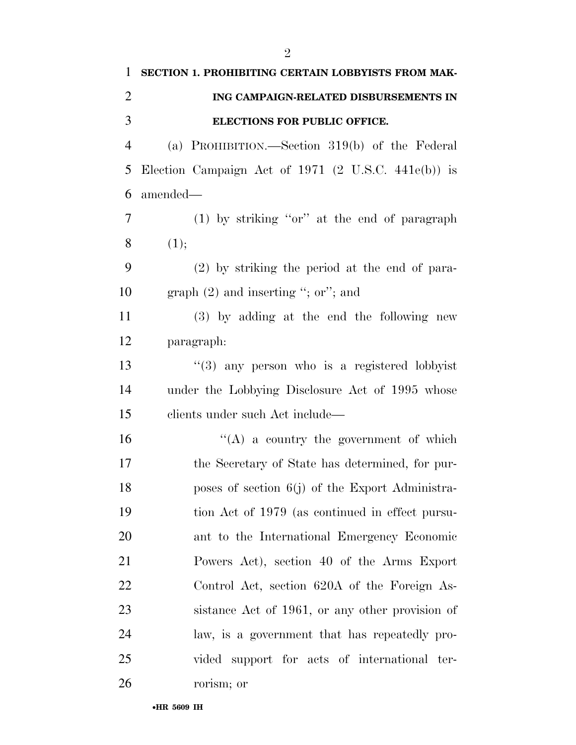| $\mathbf{1}$   | SECTION 1. PROHIBITING CERTAIN LOBBYISTS FROM MAK-             |
|----------------|----------------------------------------------------------------|
| 2              | ING CAMPAIGN-RELATED DISBURSEMENTS IN                          |
| 3              | ELECTIONS FOR PUBLIC OFFICE.                                   |
| $\overline{4}$ | (a) PROHIBITION.—Section $319(b)$ of the Federal               |
| 5              | Election Campaign Act of 1971 $(2 \text{ U.S.C. } 441e(b))$ is |
| 6              | amended—                                                       |
| 7              | $(1)$ by striking "or" at the end of paragraph                 |
| 8              | (1);                                                           |
| 9              | $(2)$ by striking the period at the end of para-               |
| 10             | graph $(2)$ and inserting "; or"; and                          |
| 11             | $(3)$ by adding at the end the following new                   |
| 12             | paragraph:                                                     |
| 13             | $(3)$ any person who is a registered lobbyist                  |
| 14             | under the Lobbying Disclosure Act of 1995 whose                |
| 15             | clients under such Act include—                                |
| 16             | $\lq\lq$ a country the government of which                     |
| 17             | the Secretary of State has determined, for pur-                |
| 18             | poses of section 6(j) of the Export Administra-                |
| 19             | tion Act of 1979 (as continued in effect pursu-                |
| 20             | ant to the International Emergency Economic                    |
| 21             | Powers Act), section 40 of the Arms Export                     |
| 22             | Control Act, section 620A of the Foreign As-                   |
| 23             | sistance Act of 1961, or any other provision of                |
| 24             | law, is a government that has repeatedly pro-                  |
| 25             | vided support for acts of international ter-                   |
| 26             | rorism; or                                                     |